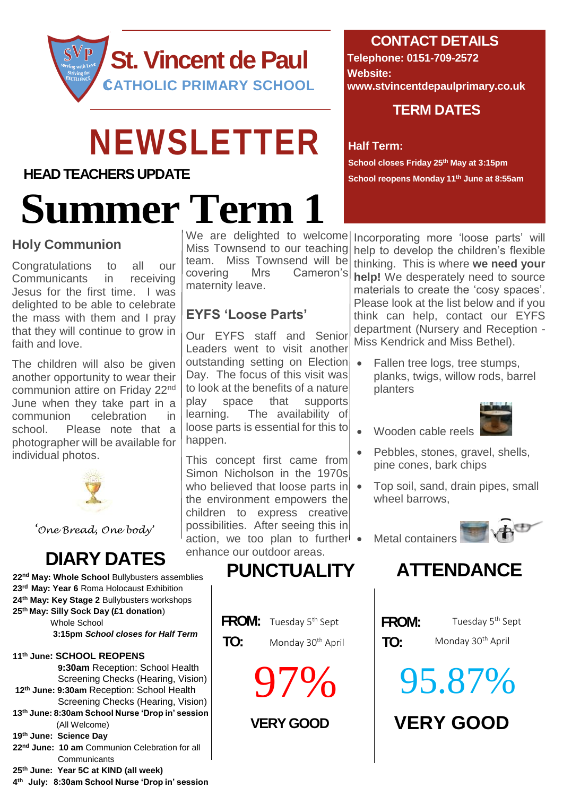

## **NEWSLETTER**

#### **HEAD TEACHERS UPDATE**

# **Summer Term 1**

#### **Holy Communion**

Congratulations to all our Communicants in receiving Jesus for the first time. I was delighted to be able to celebrate the mass with them and I pray that they will continue to grow in faith and love.

The children will also be given another opportunity to wear their communion attire on Friday 22nd June when they take part in a communion celebration in school. Please note that a photographer will be available for individual photos.



*'One Bread, One body'*

**nd May: Whole School** Bullybusters assemblies **rd May: Year 6** Roma Holocaust Exhibition **th May: Key Stage 2** Bullybusters workshops **th May: Silly Sock Day (£1 donation**) Whole School  **3:15pm** *School closes for Half Term* **th June: SCHOOL REOPENS**

 **9:30am** Reception: School Health Screening Checks (Hearing, Vision) **12th June: 9:30am** Reception: School Health Screening Checks (Hearing, Vision) **13 th June: 8:30am School Nurse 'Drop in' session** (All Welcome) **19th June: Science Day 22nd June: 10 am** Communion Celebration for all **Communicants 25th June: Year 5C at KIND (all week)**

**4 th July: 8:30am School Nurse 'Drop in' session** 

We are delighted to welcome Miss Townsend to our teaching team. Miss Townsend will be covering Mrs Cameron's maternity leave.

#### **EYFS 'Loose Parts'**

Our EYFS staff and Senior Leaders went to visit another outstanding setting on Election Day. The focus of this visit was to look at the benefits of a nature play space that supports learning. The availability of loose parts is essential for this to happen.

This concept first came from Simon Nicholson in the 1970s who believed that loose parts in  $\bullet$ the environment empowers the children to express creative possibilities. After seeing this in action, we too plan to further • enhance our outdoor areas.

## **DIARY DATES PUNCTUALITY ATTENDANCE**

- **FROM:** Tuesday 5<sup>th</sup> Sept **FROM:** 
	- **TO: TO:** Monday 30th April

97%

#### **CONTACT DETAILS**

**Telephone: 0151-709-2572 Website: www.stvincentdepaulprimary.co.uk**

#### **TERM DATES**

#### **Half Term:**

**School closes Friday 25th May at 3:15pm School reopens Monday 11 th June at 8:55am**

Incorporating more 'loose parts' will help to develop the children's flexible thinking. This is where **we need your help!** We desperately need to source

materials to create the 'cosy spaces'. Please look at the list below and if you think can help, contact our EYFS department (Nursery and Reception - Miss Kendrick and Miss Bethel).

 Fallen tree logs, tree stumps, planks, twigs, willow rods, barrel planters



- Wooden cable reels
- Pebbles, stones, gravel, shells, pine cones, bark chips
- Top soil, sand, drain pipes, small wheel barrows,

Metal containers





Monday 30<sup>th</sup> April

**VERY GOOD VERY GOOD** 95.87%